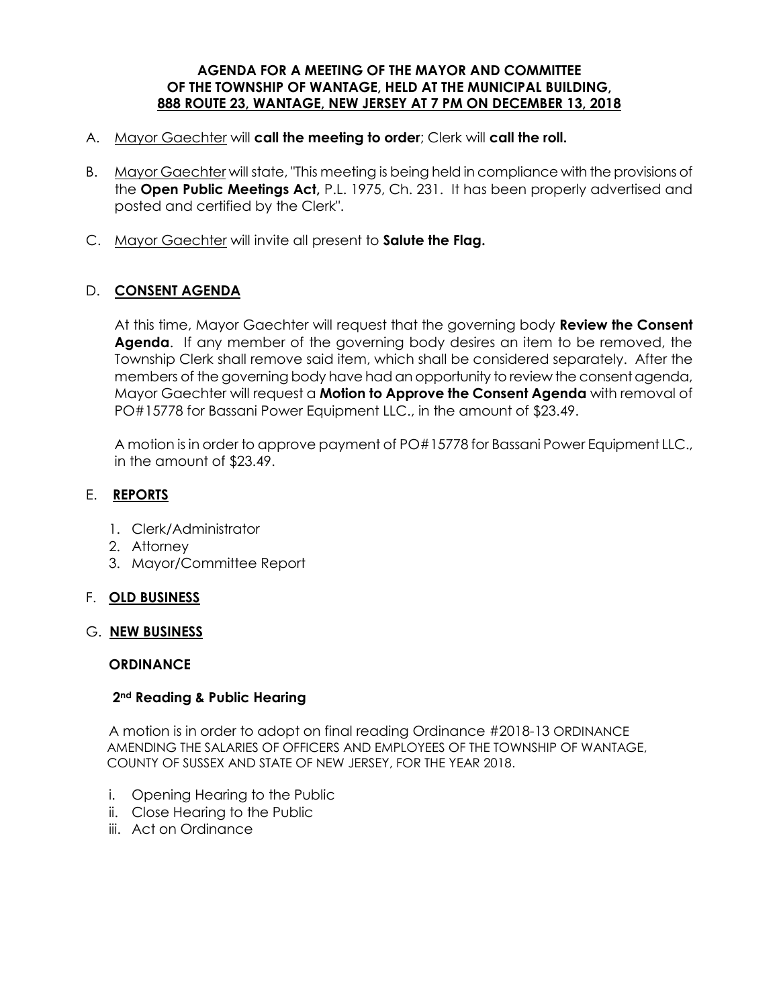#### **AGENDA FOR A MEETING OF THE MAYOR AND COMMITTEE OF THE TOWNSHIP OF WANTAGE, HELD AT THE MUNICIPAL BUILDING, 888 ROUTE 23, WANTAGE, NEW JERSEY AT 7 PM ON DECEMBER 13, 2018**

- A. Mayor Gaechter will **call the meeting to order**; Clerk will **call the roll.**
- B. Mayor Gaechter will state, "This meeting is being held in compliance with the provisions of the **Open Public Meetings Act,** P.L. 1975, Ch. 231. It has been properly advertised and posted and certified by the Clerk".
- C. Mayor Gaechter will invite all present to **Salute the Flag.**

## D. **CONSENT AGENDA**

At this time, Mayor Gaechter will request that the governing body **Review the Consent Agenda**. If any member of the governing body desires an item to be removed, the Township Clerk shall remove said item, which shall be considered separately. After the members of the governing body have had an opportunity to review the consent agenda, Mayor Gaechter will request a **Motion to Approve the Consent Agenda** with removal of PO#15778 for Bassani Power Equipment LLC., in the amount of \$23.49.

A motion is in order to approve payment of PO#15778 for Bassani Power Equipment LLC., in the amount of \$23.49.

### E. **REPORTS**

- 1. Clerk/Administrator
- 2. Attorney
- 3. Mayor/Committee Report

### F. **OLD BUSINESS**

#### G. **NEW BUSINESS**

### **ORDINANCE**

### **2nd Reading & Public Hearing**

A motion is in order to adopt on final reading Ordinance #2018-13 ORDINANCE AMENDING THE SALARIES OF OFFICERS AND EMPLOYEES OF THE TOWNSHIP OF WANTAGE, COUNTY OF SUSSEX AND STATE OF NEW JERSEY, FOR THE YEAR 2018.

- i. Opening Hearing to the Public
- ii. Close Hearing to the Public
- iii. Act on Ordinance